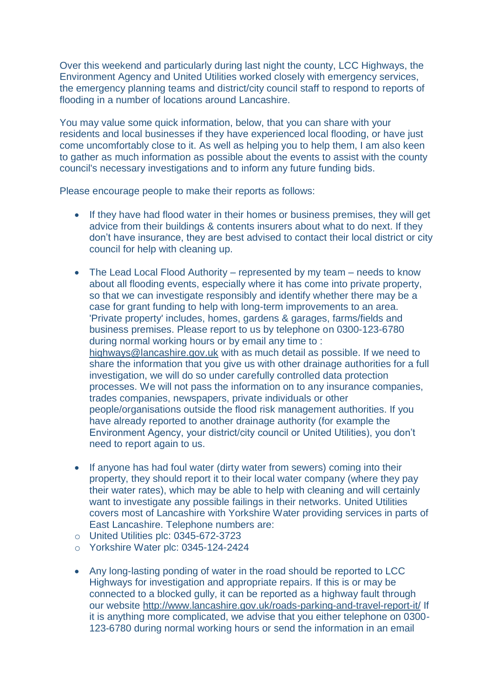Over this weekend and particularly during last night the county, LCC Highways, the Environment Agency and United Utilities worked closely with emergency services, the emergency planning teams and district/city council staff to respond to reports of flooding in a number of locations around Lancashire.

You may value some quick information, below, that you can share with your residents and local businesses if they have experienced local flooding, or have just come uncomfortably close to it. As well as helping you to help them, I am also keen to gather as much information as possible about the events to assist with the county council's necessary investigations and to inform any future funding bids.

Please encourage people to make their reports as follows:

- If they have had flood water in their homes or business premises, they will get advice from their buildings & contents insurers about what to do next. If they don't have insurance, they are best advised to contact their local district or city council for help with cleaning up.
- The Lead Local Flood Authority represented by my team needs to know about all flooding events, especially where it has come into private property, so that we can investigate responsibly and identify whether there may be a case for grant funding to help with long-term improvements to an area. 'Private property' includes, homes, gardens & garages, farms/fields and business premises. Please report to us by telephone on 0300-123-6780 during normal working hours or by email any time to : [highways@lancashire.gov.uk](mailto:highways@lancashire.gov.uk) with as much detail as possible. If we need to share the information that you give us with other drainage authorities for a full investigation, we will do so under carefully controlled data protection processes. We will not pass the information on to any insurance companies, trades companies, newspapers, private individuals or other people/organisations outside the flood risk management authorities. If you have already reported to another drainage authority (for example the Environment Agency, your district/city council or United Utilities), you don't need to report again to us.
- If anyone has had foul water (dirty water from sewers) coming into their property, they should report it to their local water company (where they pay their water rates), which may be able to help with cleaning and will certainly want to investigate any possible failings in their networks. United Utilities covers most of Lancashire with Yorkshire Water providing services in parts of East Lancashire. Telephone numbers are:
- o United Utilities plc: 0345-672-3723
- o Yorkshire Water plc: 0345-124-2424
- Any long-lasting ponding of water in the road should be reported to LCC Highways for investigation and appropriate repairs. If this is or may be connected to a blocked gully, it can be reported as a highway fault through our website<http://www.lancashire.gov.uk/roads-parking-and-travel-report-it/> If it is anything more complicated, we advise that you either telephone on 0300- 123-6780 during normal working hours or send the information in an email